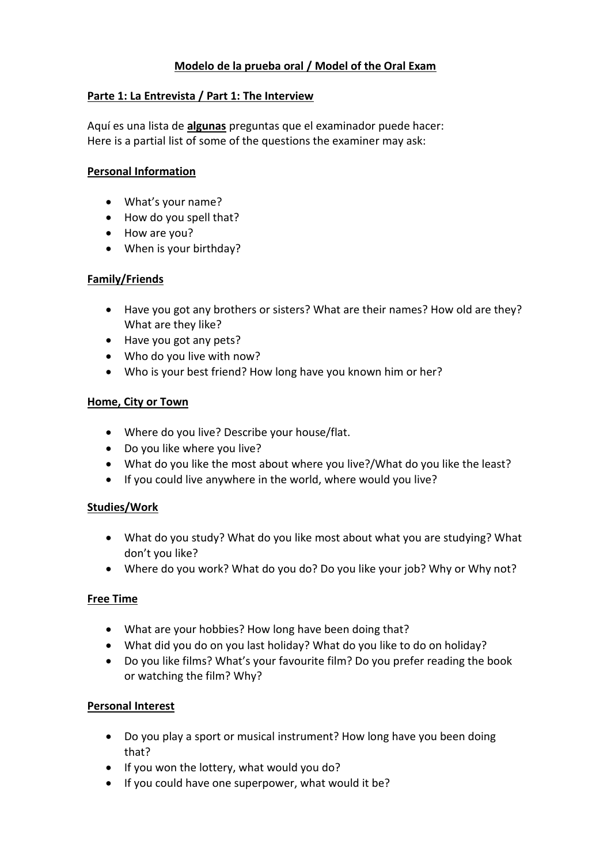# **Modelo de la prueba oral / Model of the Oral Exam**

#### **Parte 1: La Entrevista / Part 1: The Interview**

Aquí es una lista de **algunas** preguntas que el examinador puede hacer: Here is a partial list of some of the questions the examiner may ask:

#### **Personal Information**

- What's your name?
- How do you spell that?
- How are you?
- When is your birthday?

## **Family/Friends**

- Have you got any brothers or sisters? What are their names? How old are they? What are they like?
- Have you got any pets?
- Who do you live with now?
- Who is your best friend? How long have you known him or her?

#### **Home, City or Town**

- Where do you live? Describe your house/flat.
- Do you like where you live?
- What do you like the most about where you live?/What do you like the least?
- If you could live anywhere in the world, where would you live?

#### **Studies/Work**

- What do you study? What do you like most about what you are studying? What don't you like?
- Where do you work? What do you do? Do you like your job? Why or Why not?

#### **Free Time**

- What are your hobbies? How long have been doing that?
- What did you do on you last holiday? What do you like to do on holiday?
- Do you like films? What's your favourite film? Do you prefer reading the book or watching the film? Why?

#### **Personal Interest**

- Do you play a sport or musical instrument? How long have you been doing that?
- If you won the lottery, what would you do?
- If you could have one superpower, what would it be?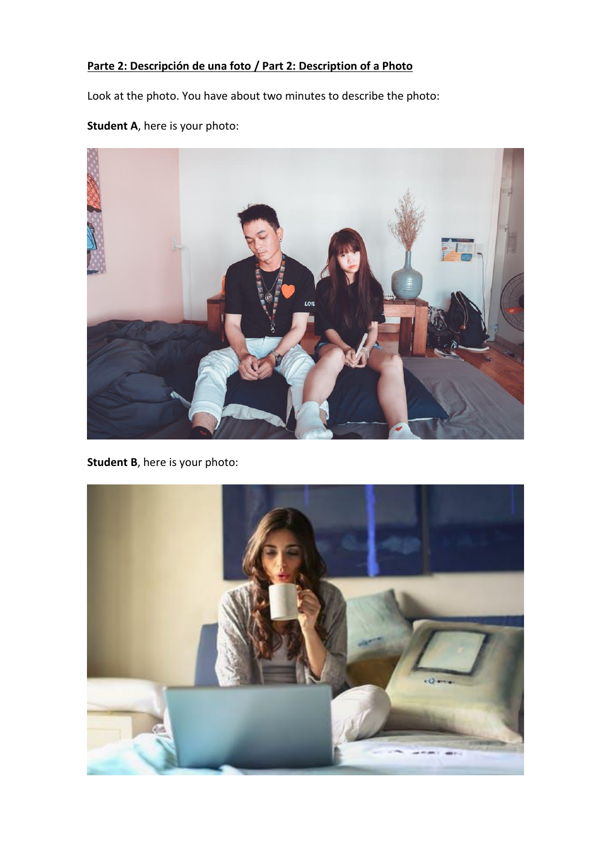# **Parte 2: Descripción de una foto / Part 2: Description of a Photo**

Look at the photo. You have about two minutes to describe the photo:

# **Student A**, here is your photo:



**Student B**, here is your photo: